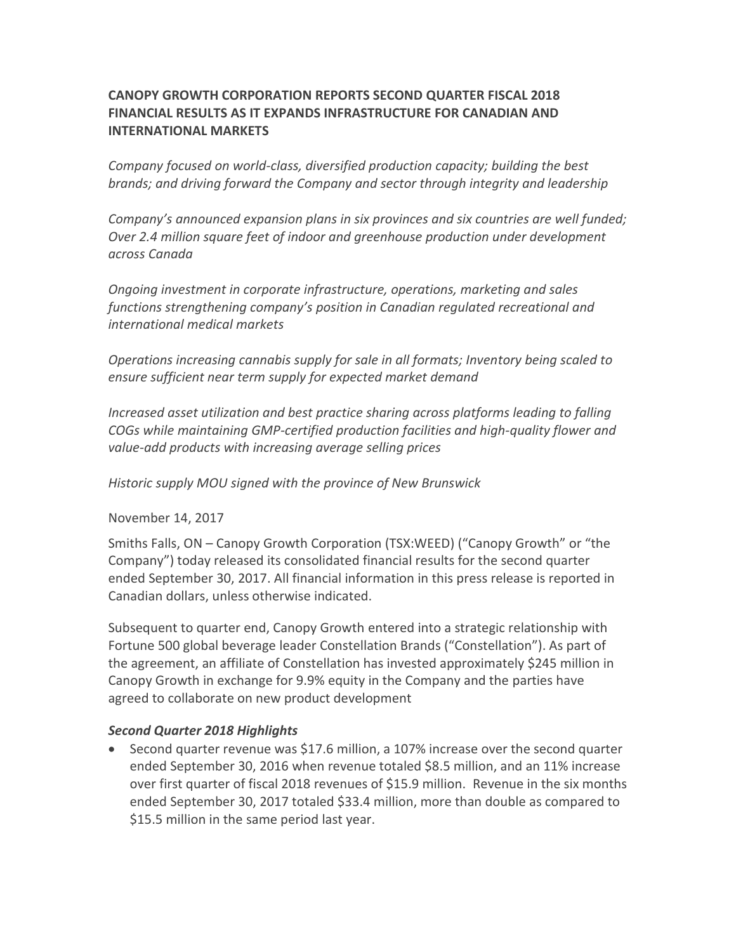# **CANOPY GROWTH CORPORATION REPORTS SECOND QUARTER FISCAL 2018 FINANCIAL RESULTS AS IT EXPANDS INFRASTRUCTURE FOR CANADIAN AND INTERNATIONAL MARKETS**

*Company focused on world-class, diversified production capacity; building the best brands; and driving forward the Company and sector through integrity and leadership*

*Company's announced expansion plans in six provinces and six countries are well funded; Over 2.4 million square feet of indoor and greenhouse production under development across Canada*

*Ongoing investment in corporate infrastructure, operations, marketing and sales functions strengthening company's position in Canadian regulated recreational and international medical markets*

*Operations increasing cannabis supply for sale in all formats; Inventory being scaled to ensure sufficient near term supply for expected market demand*

*Increased asset utilization and best practice sharing across platforms leading to falling COGs while maintaining GMP-certified production facilities and high-quality flower and value-add products with increasing average selling prices*

*Historic supply MOU signed with the province of New Brunswick*

November 14, 2017

Smiths Falls, ON – Canopy Growth Corporation (TSX:WEED) ("Canopy Growth" or "the Company") today released its consolidated financial results for the second quarter ended September 30, 2017. All financial information in this press release is reported in Canadian dollars, unless otherwise indicated.

Subsequent to quarter end, Canopy Growth entered into a strategic relationship with Fortune 500 global beverage leader Constellation Brands ("Constellation"). As part of the agreement, an affiliate of Constellation has invested approximately \$245 million in Canopy Growth in exchange for 9.9% equity in the Company and the parties have agreed to collaborate on new product development

# *Second Quarter 2018 Highlights*

• Second quarter revenue was \$17.6 million, a 107% increase over the second quarter ended September 30, 2016 when revenue totaled \$8.5 million, and an 11% increase over first quarter of fiscal 2018 revenues of \$15.9 million. Revenue in the six months ended September 30, 2017 totaled \$33.4 million, more than double as compared to \$15.5 million in the same period last year.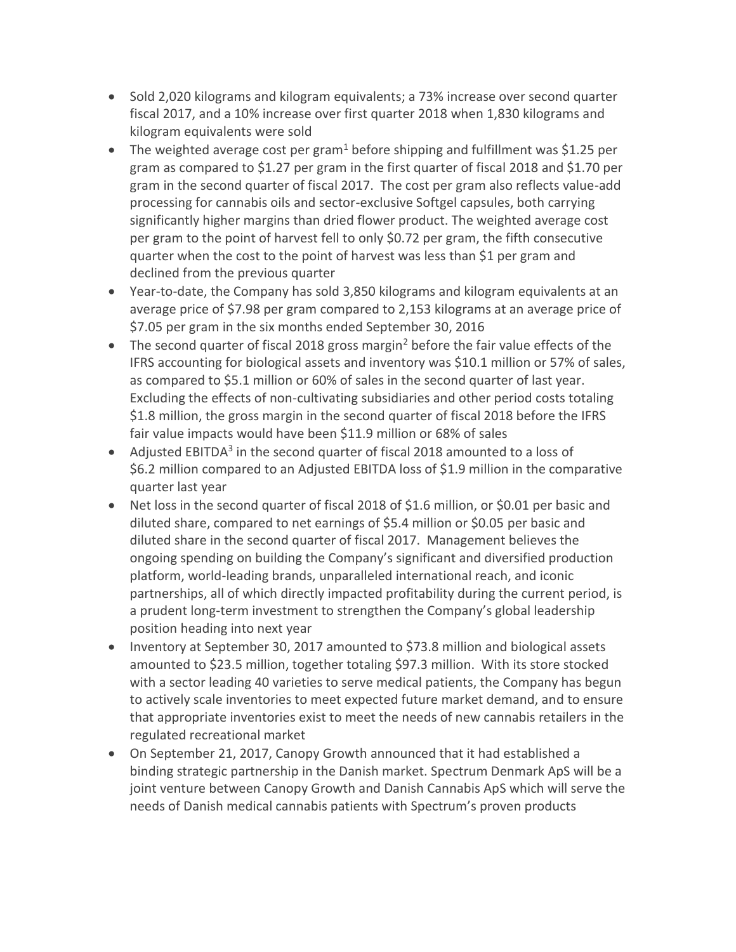- Sold 2,020 kilograms and kilogram equivalents; a 73% increase over second quarter fiscal 2017, and a 10% increase over first quarter 2018 when 1,830 kilograms and kilogram equivalents were sold
- The weighted average cost per gram<sup>1</sup> before shipping and fulfillment was \$1.25 per gram as compared to \$1.27 per gram in the first quarter of fiscal 2018 and \$1.70 per gram in the second quarter of fiscal 2017. The cost per gram also reflects value-add processing for cannabis oils and sector-exclusive Softgel capsules, both carrying significantly higher margins than dried flower product. The weighted average cost per gram to the point of harvest fell to only \$0.72 per gram, the fifth consecutive quarter when the cost to the point of harvest was less than \$1 per gram and declined from the previous quarter
- Year-to-date, the Company has sold 3,850 kilograms and kilogram equivalents at an average price of \$7.98 per gram compared to 2,153 kilograms at an average price of \$7.05 per gram in the six months ended September 30, 2016
- The second quarter of fiscal 2018 gross margin<sup>2</sup> before the fair value effects of the IFRS accounting for biological assets and inventory was \$10.1 million or 57% of sales, as compared to \$5.1 million or 60% of sales in the second quarter of last year. Excluding the effects of non-cultivating subsidiaries and other period costs totaling \$1.8 million, the gross margin in the second quarter of fiscal 2018 before the IFRS fair value impacts would have been \$11.9 million or 68% of sales
- Adjusted EBITDA<sup>3</sup> in the second quarter of fiscal 2018 amounted to a loss of \$6.2 million compared to an Adjusted EBITDA loss of \$1.9 million in the comparative quarter last year
- Net loss in the second quarter of fiscal 2018 of \$1.6 million, or \$0.01 per basic and diluted share, compared to net earnings of \$5.4 million or \$0.05 per basic and diluted share in the second quarter of fiscal 2017. Management believes the ongoing spending on building the Company's significant and diversified production platform, world-leading brands, unparalleled international reach, and iconic partnerships, all of which directly impacted profitability during the current period, is a prudent long-term investment to strengthen the Company's global leadership position heading into next year
- Inventory at September 30, 2017 amounted to \$73.8 million and biological assets amounted to \$23.5 million, together totaling \$97.3 million. With its store stocked with a sector leading 40 varieties to serve medical patients, the Company has begun to actively scale inventories to meet expected future market demand, and to ensure that appropriate inventories exist to meet the needs of new cannabis retailers in the regulated recreational market
- On September 21, 2017, Canopy Growth announced that it had established a binding strategic partnership in the Danish market. Spectrum Denmark ApS will be a joint venture between Canopy Growth and Danish Cannabis ApS which will serve the needs of Danish medical cannabis patients with Spectrum's proven products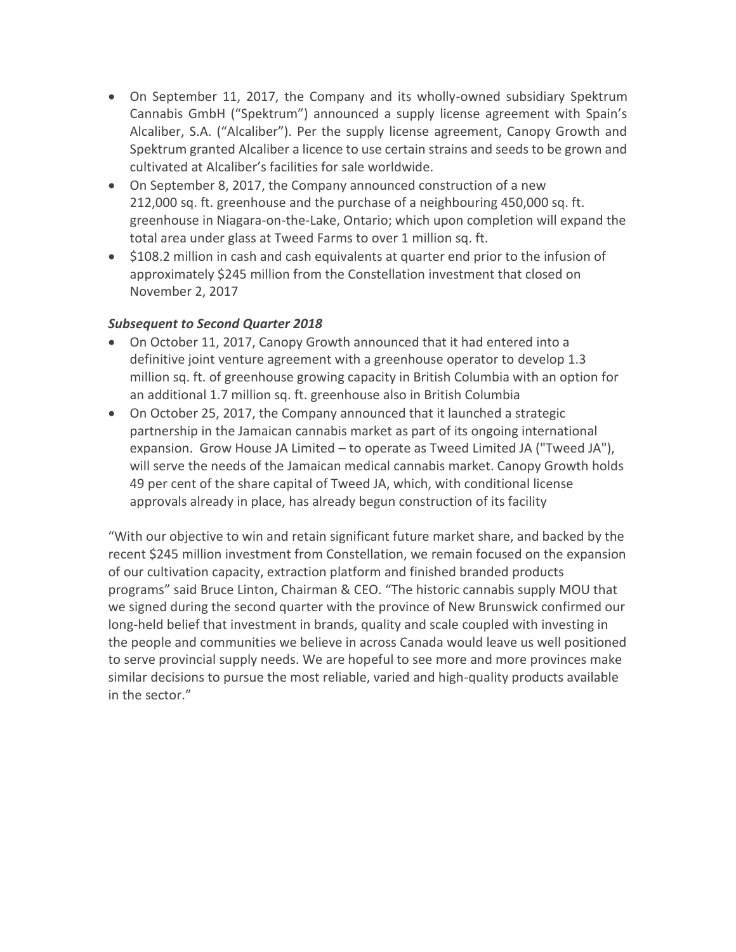- On September 11, 2017, the Company and its wholly-owned subsidiary Spektrum Cannabis GmbH ("Spektrum") announced a supply license agreement with Spain's Alcaliber, S.A. ("Alcaliber"). Per the supply license agreement, Canopy Growth and Spektrum granted Alcaliber a licence to use certain strains and seeds to be grown and cultivated at Alcaliber's facilities for sale worldwide.
- On September 8, 2017, the Company announced construction of a new 212,000 sq. ft. greenhouse and the purchase of a neighbouring 450,000 sq. ft. greenhouse in Niagara-on-the-Lake, Ontario; which upon completion will expand the total area under glass at Tweed Farms to over 1 million sq. ft.
- \$108.2 million in cash and cash equivalents at quarter end prior to the infusion of approximately \$245 million from the Constellation investment that closed on November 2, 2017

# *Subsequent to Second Quarter 2018*

- On October 11, 2017, Canopy Growth announced that it had entered into a definitive joint venture agreement with a greenhouse operator to develop 1.3 million sq. ft. of greenhouse growing capacity in British Columbia with an option for an additional 1.7 million sq. ft. greenhouse also in British Columbia
- On October 25, 2017, the Company announced that it launched a strategic partnership in the Jamaican cannabis market as part of its ongoing international expansion. Grow House JA Limited – to operate as Tweed Limited JA ("Tweed JA"), will serve the needs of the Jamaican medical cannabis market. Canopy Growth holds 49 per cent of the share capital of Tweed JA, which, with conditional license approvals already in place, has already begun construction of its facility

"With our objective to win and retain significant future market share, and backed by the recent \$245 million investment from Constellation, we remain focused on the expansion of our cultivation capacity, extraction platform and finished branded products programs" said Bruce Linton, Chairman & CEO. "The historic cannabis supply MOU that we signed during the second quarter with the province of New Brunswick confirmed our long-held belief that investment in brands, quality and scale coupled with investing in the people and communities we believe in across Canada would leave us well positioned to serve provincial supply needs. We are hopeful to see more and more provinces make similar decisions to pursue the most reliable, varied and high-quality products available in the sector."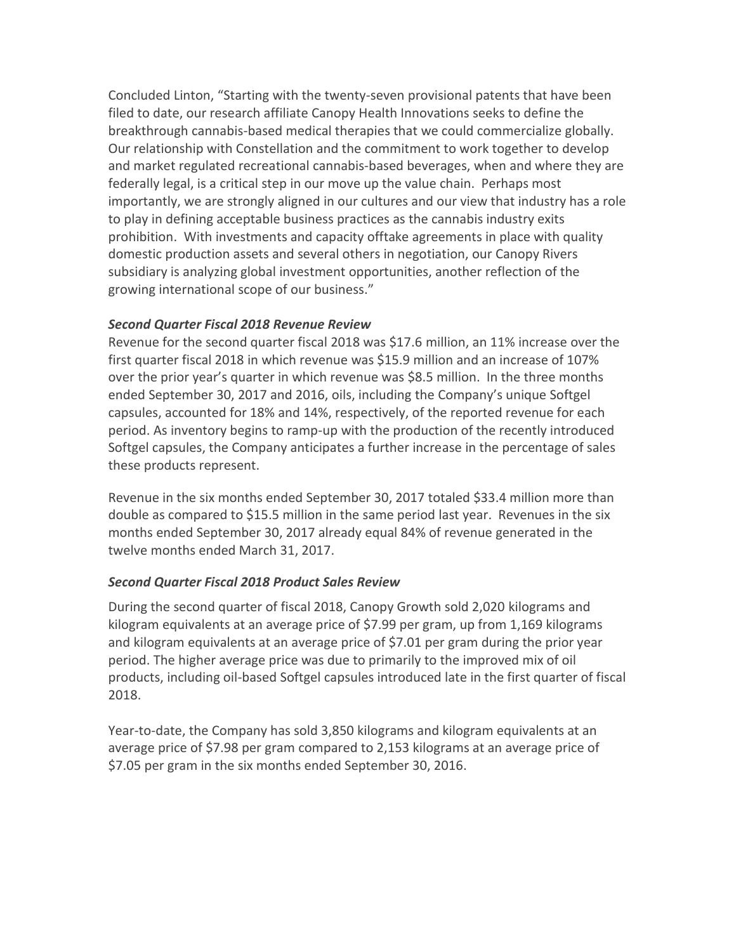Concluded Linton, "Starting with the twenty-seven provisional patents that have been filed to date, our research affiliate Canopy Health Innovations seeks to define the breakthrough cannabis-based medical therapies that we could commercialize globally. Our relationship with Constellation and the commitment to work together to develop and market regulated recreational cannabis-based beverages, when and where they are federally legal, is a critical step in our move up the value chain. Perhaps most importantly, we are strongly aligned in our cultures and our view that industry has a role to play in defining acceptable business practices as the cannabis industry exits prohibition. With investments and capacity offtake agreements in place with quality domestic production assets and several others in negotiation, our Canopy Rivers subsidiary is analyzing global investment opportunities, another reflection of the growing international scope of our business."

## *Second Quarter Fiscal 2018 Revenue Review*

Revenue for the second quarter fiscal 2018 was \$17.6 million, an 11% increase over the first quarter fiscal 2018 in which revenue was \$15.9 million and an increase of 107% over the prior year's quarter in which revenue was \$8.5 million. In the three months ended September 30, 2017 and 2016, oils, including the Company's unique Softgel capsules, accounted for 18% and 14%, respectively, of the reported revenue for each period. As inventory begins to ramp-up with the production of the recently introduced Softgel capsules, the Company anticipates a further increase in the percentage of sales these products represent.

Revenue in the six months ended September 30, 2017 totaled \$33.4 million more than double as compared to \$15.5 million in the same period last year. Revenues in the six months ended September 30, 2017 already equal 84% of revenue generated in the twelve months ended March 31, 2017.

# *Second Quarter Fiscal 2018 Product Sales Review*

During the second quarter of fiscal 2018, Canopy Growth sold 2,020 kilograms and kilogram equivalents at an average price of \$7.99 per gram, up from 1,169 kilograms and kilogram equivalents at an average price of \$7.01 per gram during the prior year period. The higher average price was due to primarily to the improved mix of oil products, including oil-based Softgel capsules introduced late in the first quarter of fiscal 2018.

Year-to-date, the Company has sold 3,850 kilograms and kilogram equivalents at an average price of \$7.98 per gram compared to 2,153 kilograms at an average price of \$7.05 per gram in the six months ended September 30, 2016.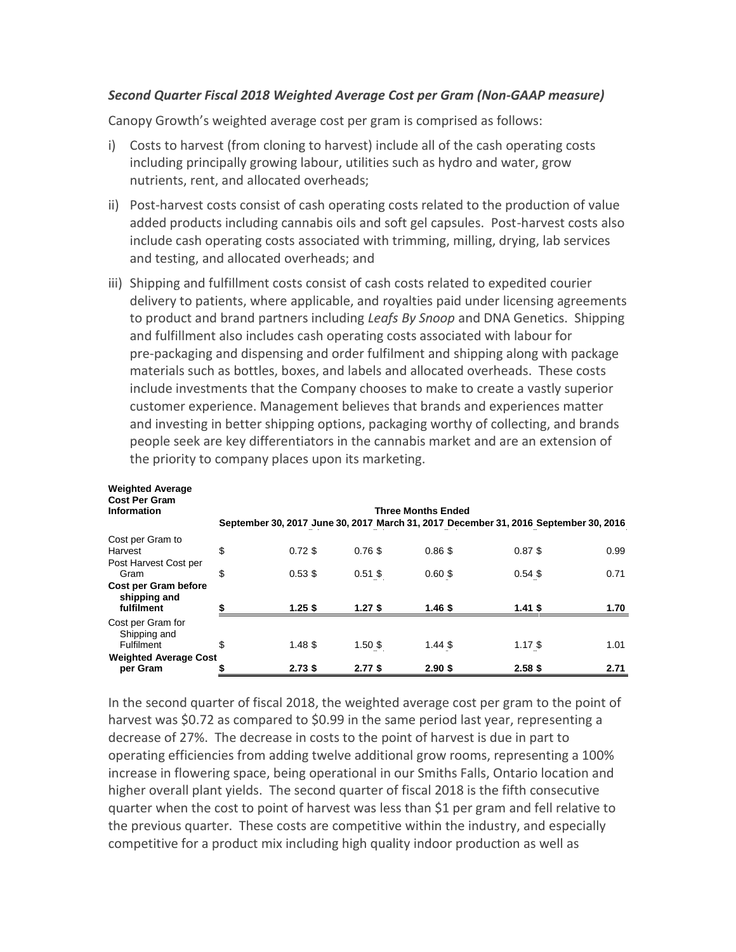#### *Second Quarter Fiscal 2018 Weighted Average Cost per Gram (Non-GAAP measure)*

Canopy Growth's weighted average cost per gram is comprised as follows:

- i) Costs to harvest (from cloning to harvest) include all of the cash operating costs including principally growing labour, utilities such as hydro and water, grow nutrients, rent, and allocated overheads;
- ii) Post-harvest costs consist of cash operating costs related to the production of value added products including cannabis oils and soft gel capsules. Post-harvest costs also include cash operating costs associated with trimming, milling, drying, lab services and testing, and allocated overheads; and
- iii) Shipping and fulfillment costs consist of cash costs related to expedited courier delivery to patients, where applicable, and royalties paid under licensing agreements to product and brand partners including *Leafs By Snoop* and DNA Genetics. Shipping and fulfillment also includes cash operating costs associated with labour for pre-packaging and dispensing and order fulfilment and shipping along with package materials such as bottles, boxes, and labels and allocated overheads. These costs include investments that the Company chooses to make to create a vastly superior customer experience. Management believes that brands and experiences matter and investing in better shipping options, packaging worthy of collecting, and brands people seek are key differentiators in the cannabis market and are an extension of the priority to company places upon its marketing.

| <b>Weighted Average</b><br><b>Cost Per Gram</b><br>Information | <b>Three Months Ended</b> |           |           |           |                                                                                      |      |  |  |  |
|----------------------------------------------------------------|---------------------------|-----------|-----------|-----------|--------------------------------------------------------------------------------------|------|--|--|--|
|                                                                |                           |           |           |           | September 30, 2017 June 30, 2017 March 31, 2017 December 31, 2016 September 30, 2016 |      |  |  |  |
| Cost per Gram to                                               |                           |           |           |           |                                                                                      |      |  |  |  |
| Harvest                                                        | \$                        | $0.72$ \$ | $0.76$ \$ | $0.86$ \$ | $0.87$ \$                                                                            | 0.99 |  |  |  |
| Post Harvest Cost per<br>Gram                                  | \$                        | $0.53$ \$ | $0.51$ \$ | $0.60$ \$ | $0.54$ \$                                                                            | 0.71 |  |  |  |
| Cost per Gram before<br>shipping and                           |                           |           |           |           |                                                                                      |      |  |  |  |
| fulfilment                                                     |                           | $1.25$ \$ | $1.27$ \$ | $1.46$ \$ | $1.41$ \$                                                                            | 1.70 |  |  |  |
| Cost per Gram for<br>Shipping and                              |                           |           |           |           |                                                                                      |      |  |  |  |
| <b>Fulfilment</b>                                              | \$                        | $1.48$ \$ | $1.50$ \$ | $1.44$ \$ | $1.17$ \$                                                                            | 1.01 |  |  |  |
| <b>Weighted Average Cost</b>                                   |                           |           |           |           |                                                                                      |      |  |  |  |
| per Gram                                                       |                           | $2.73$ \$ | $2.77$ \$ | $2.90$ \$ | $2.58$ \$                                                                            | 2.71 |  |  |  |

In the second quarter of fiscal 2018, the weighted average cost per gram to the point of harvest was \$0.72 as compared to \$0.99 in the same period last year, representing a decrease of 27%. The decrease in costs to the point of harvest is due in part to operating efficiencies from adding twelve additional grow rooms, representing a 100% increase in flowering space, being operational in our Smiths Falls, Ontario location and higher overall plant yields. The second quarter of fiscal 2018 is the fifth consecutive quarter when the cost to point of harvest was less than \$1 per gram and fell relative to the previous quarter. These costs are competitive within the industry, and especially competitive for a product mix including high quality indoor production as well as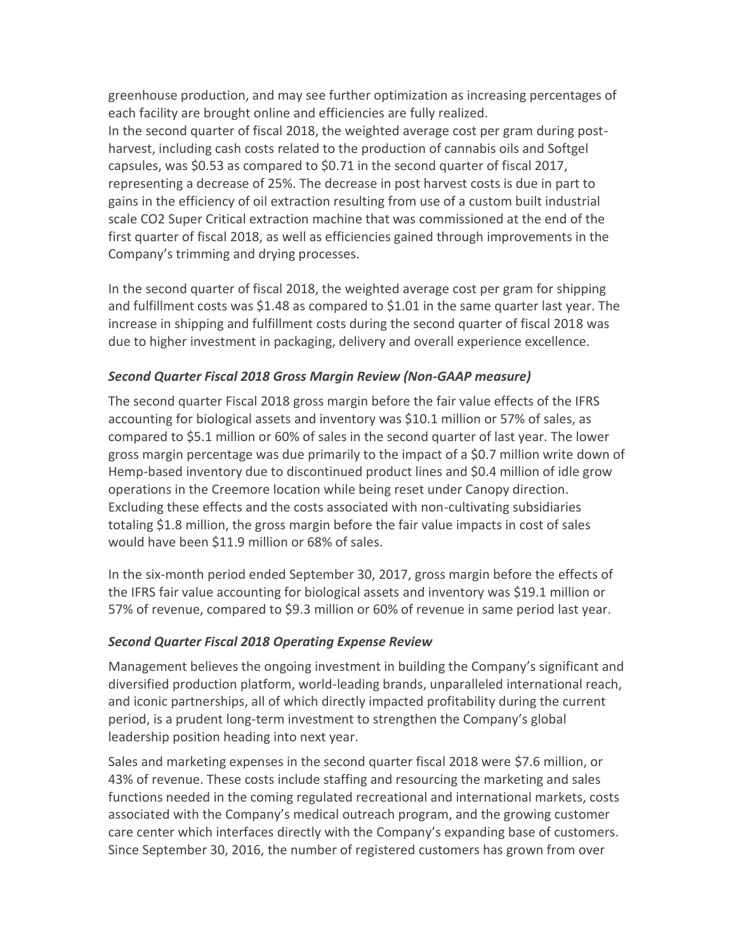greenhouse production, and may see further optimization as increasing percentages of each facility are brought online and efficiencies are fully realized. In the second quarter of fiscal 2018, the weighted average cost per gram during postharvest, including cash costs related to the production of cannabis oils and Softgel capsules, was \$0.53 as compared to \$0.71 in the second quarter of fiscal 2017, representing a decrease of 25%. The decrease in post harvest costs is due in part to gains in the efficiency of oil extraction resulting from use of a custom built industrial scale CO2 Super Critical extraction machine that was commissioned at the end of the first quarter of fiscal 2018, as well as efficiencies gained through improvements in the Company's trimming and drying processes.

In the second quarter of fiscal 2018, the weighted average cost per gram for shipping and fulfillment costs was \$1.48 as compared to \$1.01 in the same quarter last year. The increase in shipping and fulfillment costs during the second quarter of fiscal 2018 was due to higher investment in packaging, delivery and overall experience excellence.

## *Second Quarter Fiscal 2018 Gross Margin Review (Non-GAAP measure)*

The second quarter Fiscal 2018 gross margin before the fair value effects of the IFRS accounting for biological assets and inventory was \$10.1 million or 57% of sales, as compared to \$5.1 million or 60% of sales in the second quarter of last year. The lower gross margin percentage was due primarily to the impact of a \$0.7 million write down of Hemp-based inventory due to discontinued product lines and \$0.4 million of idle grow operations in the Creemore location while being reset under Canopy direction. Excluding these effects and the costs associated with non-cultivating subsidiaries totaling \$1.8 million, the gross margin before the fair value impacts in cost of sales would have been \$11.9 million or 68% of sales.

In the six-month period ended September 30, 2017, gross margin before the effects of the IFRS fair value accounting for biological assets and inventory was \$19.1 million or 57% of revenue, compared to \$9.3 million or 60% of revenue in same period last year.

# *Second Quarter Fiscal 2018 Operating Expense Review*

Management believes the ongoing investment in building the Company's significant and diversified production platform, world-leading brands, unparalleled international reach, and iconic partnerships, all of which directly impacted profitability during the current period, is a prudent long-term investment to strengthen the Company's global leadership position heading into next year.

Sales and marketing expenses in the second quarter fiscal 2018 were \$7.6 million, or 43% of revenue. These costs include staffing and resourcing the marketing and sales functions needed in the coming regulated recreational and international markets, costs associated with the Company's medical outreach program, and the growing customer care center which interfaces directly with the Company's expanding base of customers. Since September 30, 2016, the number of registered customers has grown from over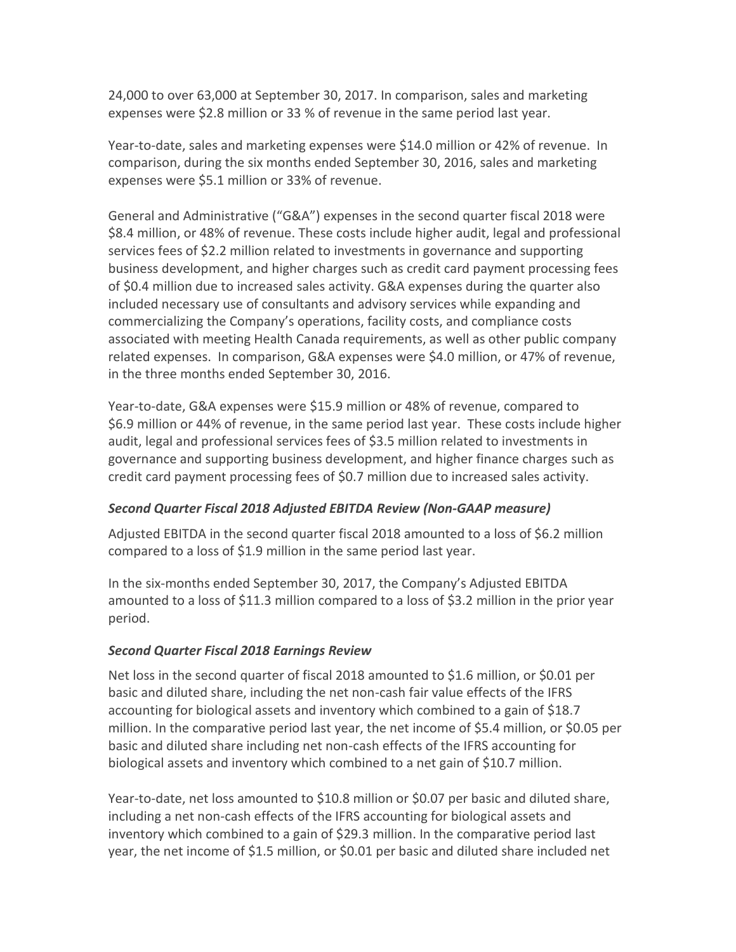24,000 to over 63,000 at September 30, 2017. In comparison, sales and marketing expenses were \$2.8 million or 33 % of revenue in the same period last year.

Year-to-date, sales and marketing expenses were \$14.0 million or 42% of revenue. In comparison, during the six months ended September 30, 2016, sales and marketing expenses were \$5.1 million or 33% of revenue.

General and Administrative ("G&A") expenses in the second quarter fiscal 2018 were \$8.4 million, or 48% of revenue. These costs include higher audit, legal and professional services fees of \$2.2 million related to investments in governance and supporting business development, and higher charges such as credit card payment processing fees of \$0.4 million due to increased sales activity. G&A expenses during the quarter also included necessary use of consultants and advisory services while expanding and commercializing the Company's operations, facility costs, and compliance costs associated with meeting Health Canada requirements, as well as other public company related expenses. In comparison, G&A expenses were \$4.0 million, or 47% of revenue, in the three months ended September 30, 2016.

Year-to-date, G&A expenses were \$15.9 million or 48% of revenue, compared to \$6.9 million or 44% of revenue, in the same period last year. These costs include higher audit, legal and professional services fees of \$3.5 million related to investments in governance and supporting business development, and higher finance charges such as credit card payment processing fees of \$0.7 million due to increased sales activity.

# *Second Quarter Fiscal 2018 Adjusted EBITDA Review (Non-GAAP measure)*

Adjusted EBITDA in the second quarter fiscal 2018 amounted to a loss of \$6.2 million compared to a loss of \$1.9 million in the same period last year.

In the six-months ended September 30, 2017, the Company's Adjusted EBITDA amounted to a loss of \$11.3 million compared to a loss of \$3.2 million in the prior year period.

#### *Second Quarter Fiscal 2018 Earnings Review*

Net loss in the second quarter of fiscal 2018 amounted to \$1.6 million, or \$0.01 per basic and diluted share, including the net non-cash fair value effects of the IFRS accounting for biological assets and inventory which combined to a gain of \$18.7 million. In the comparative period last year, the net income of \$5.4 million, or \$0.05 per basic and diluted share including net non-cash effects of the IFRS accounting for biological assets and inventory which combined to a net gain of \$10.7 million.

Year-to-date, net loss amounted to \$10.8 million or \$0.07 per basic and diluted share, including a net non-cash effects of the IFRS accounting for biological assets and inventory which combined to a gain of \$29.3 million. In the comparative period last year, the net income of \$1.5 million, or \$0.01 per basic and diluted share included net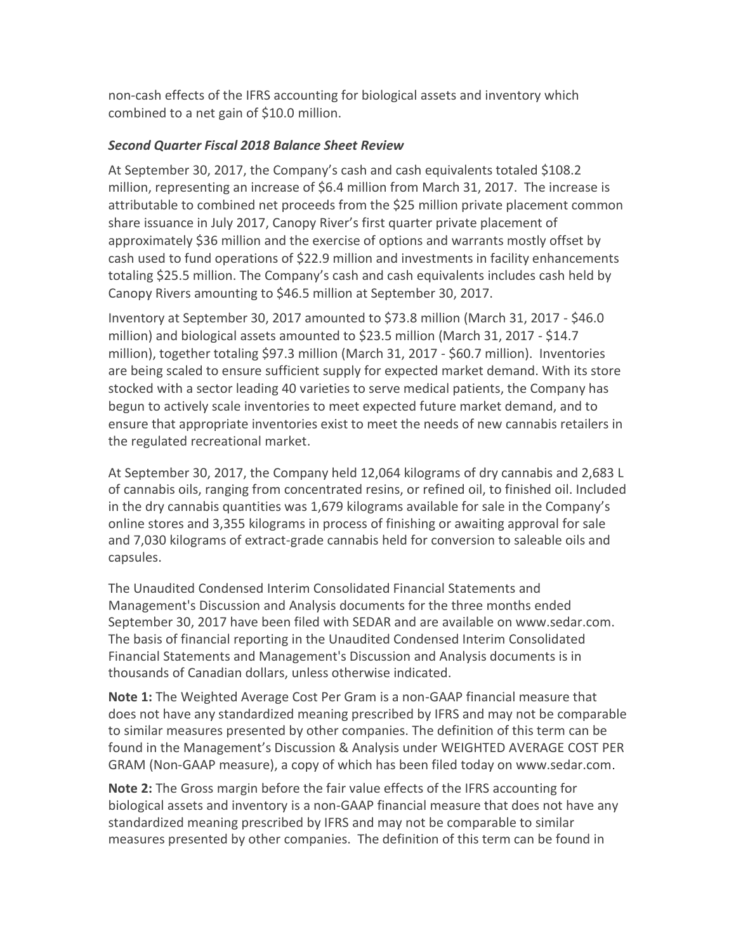non-cash effects of the IFRS accounting for biological assets and inventory which combined to a net gain of \$10.0 million.

# *Second Quarter Fiscal 2018 Balance Sheet Review*

At September 30, 2017, the Company's cash and cash equivalents totaled \$108.2 million, representing an increase of \$6.4 million from March 31, 2017. The increase is attributable to combined net proceeds from the \$25 million private placement common share issuance in July 2017, Canopy River's first quarter private placement of approximately \$36 million and the exercise of options and warrants mostly offset by cash used to fund operations of \$22.9 million and investments in facility enhancements totaling \$25.5 million. The Company's cash and cash equivalents includes cash held by Canopy Rivers amounting to \$46.5 million at September 30, 2017.

Inventory at September 30, 2017 amounted to \$73.8 million (March 31, 2017 - \$46.0 million) and biological assets amounted to \$23.5 million (March 31, 2017 - \$14.7 million), together totaling \$97.3 million (March 31, 2017 - \$60.7 million). Inventories are being scaled to ensure sufficient supply for expected market demand. With its store stocked with a sector leading 40 varieties to serve medical patients, the Company has begun to actively scale inventories to meet expected future market demand, and to ensure that appropriate inventories exist to meet the needs of new cannabis retailers in the regulated recreational market.

At September 30, 2017, the Company held 12,064 kilograms of dry cannabis and 2,683 L of cannabis oils, ranging from concentrated resins, or refined oil, to finished oil. Included in the dry cannabis quantities was 1,679 kilograms available for sale in the Company's online stores and 3,355 kilograms in process of finishing or awaiting approval for sale and 7,030 kilograms of extract-grade cannabis held for conversion to saleable oils and capsules.

The Unaudited Condensed Interim Consolidated Financial Statements and Management's Discussion and Analysis documents for the three months ended September 30, 2017 have been filed with SEDAR and are available on www.sedar.com. The basis of financial reporting in the Unaudited Condensed Interim Consolidated Financial Statements and Management's Discussion and Analysis documents is in thousands of Canadian dollars, unless otherwise indicated.

**Note 1:** The Weighted Average Cost Per Gram is a non-GAAP financial measure that does not have any standardized meaning prescribed by IFRS and may not be comparable to similar measures presented by other companies. The definition of this term can be found in the Management's Discussion & Analysis under WEIGHTED AVERAGE COST PER GRAM (Non-GAAP measure), a copy of which has been filed today on www.sedar.com.

**Note 2:** The Gross margin before the fair value effects of the IFRS accounting for biological assets and inventory is a non-GAAP financial measure that does not have any standardized meaning prescribed by IFRS and may not be comparable to similar measures presented by other companies. The definition of this term can be found in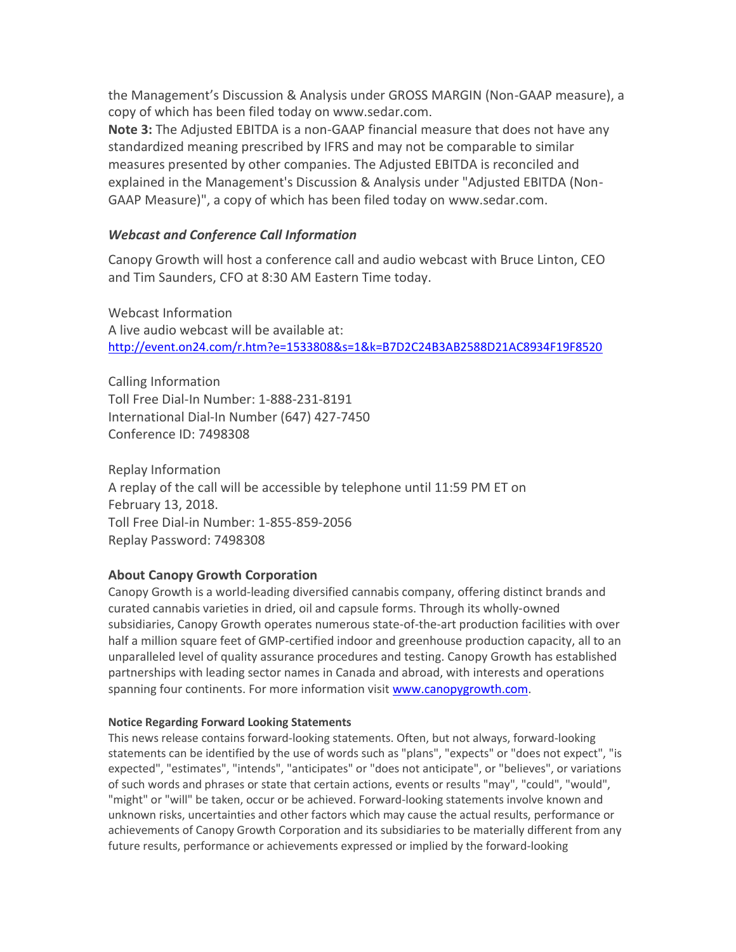the Management's Discussion & Analysis under GROSS MARGIN (Non-GAAP measure), a copy of which has been filed today on www.sedar.com.

**Note 3:** The Adjusted EBITDA is a non-GAAP financial measure that does not have any standardized meaning prescribed by IFRS and may not be comparable to similar measures presented by other companies. The Adjusted EBITDA is reconciled and explained in the Management's Discussion & Analysis under "Adjusted EBITDA (Non-GAAP Measure)", a copy of which has been filed today on [www.sedar.com.](http://www.sedar.com/)

## *Webcast and Conference Call Information*

Canopy Growth will host a conference call and audio webcast with Bruce Linton, CEO and Tim Saunders, CFO at 8:30 AM Eastern Time today.

Webcast Information A live audio webcast will be available at: http://event.on24.com/r.htm?e=1533808&s=1&k=B7D2C24B3AB2588D21AC8934F19F8520

Calling Information Toll Free Dial-In Number: 1-888-231-8191 International Dial-In Number (647) 427-7450 Conference ID: 7498308

Replay Information A replay of the call will be accessible by telephone until 11:59 PM ET on February 13, 2018. Toll Free Dial-in Number: 1-855-859-2056 Replay Password: 7498308

#### **About Canopy Growth Corporation**

Canopy Growth is a world-leading diversified cannabis company, offering distinct brands and curated cannabis varieties in dried, oil and capsule forms. Through its wholly‑owned subsidiaries, Canopy Growth operates numerous state-of-the-art production facilities with over half a million square feet of GMP-certified indoor and greenhouse production capacity, all to an unparalleled level of quality assurance procedures and testing. Canopy Growth has established partnerships with leading sector names in Canada and abroad, with interests and operations spanning four continents. For more information visi[t www.canopygrowth.com.](http://www.canopygrowth.com/)

#### **Notice Regarding Forward Looking Statements**

This news release contains forward-looking statements. Often, but not always, forward-looking statements can be identified by the use of words such as "plans", "expects" or "does not expect", "is expected", "estimates", "intends", "anticipates" or "does not anticipate", or "believes", or variations of such words and phrases or state that certain actions, events or results "may", "could", "would", "might" or "will" be taken, occur or be achieved. Forward-looking statements involve known and unknown risks, uncertainties and other factors which may cause the actual results, performance or achievements of Canopy Growth Corporation and its subsidiaries to be materially different from any future results, performance or achievements expressed or implied by the forward-looking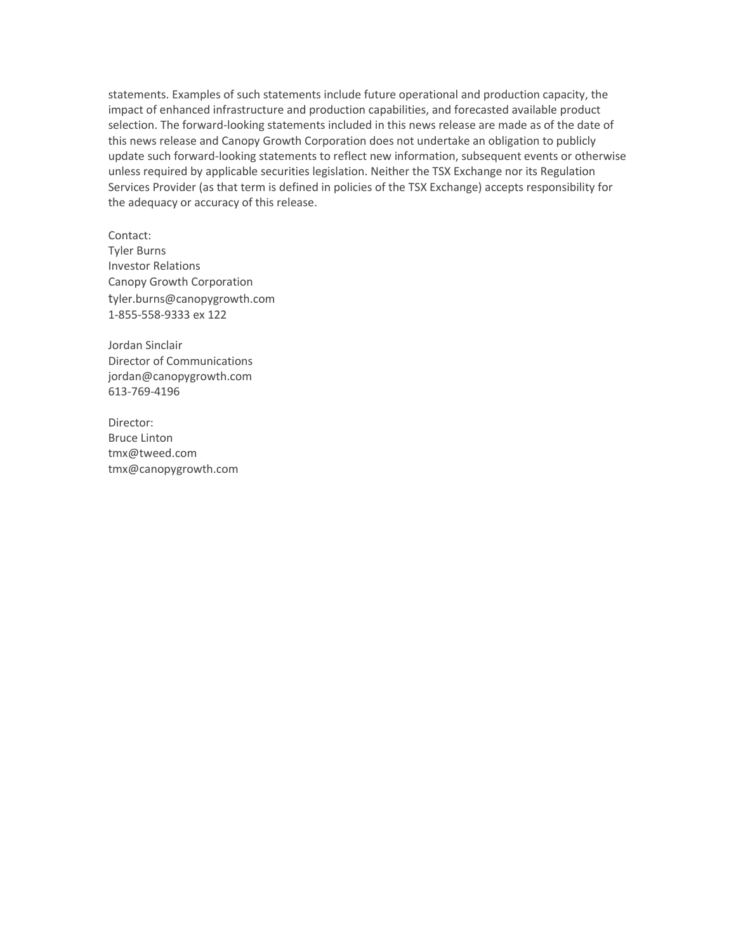statements. Examples of such statements include future operational and production capacity, the impact of enhanced infrastructure and production capabilities, and forecasted available product selection. The forward-looking statements included in this news release are made as of the date of this news release and Canopy Growth Corporation does not undertake an obligation to publicly update such forward-looking statements to reflect new information, subsequent events or otherwise unless required by applicable securities legislation. Neither the TSX Exchange nor its Regulation Services Provider (as that term is defined in policies of the TSX Exchange) accepts responsibility for the adequacy or accuracy of this release.

Contact: Tyler Burns Investor Relations Canopy Growth Corporation tyler.burns@canopygrowth.com 1-855-558-9333 ex 122

Jordan Sinclair Director of Communications jordan@canopygrowth.com 613-769-4196

Director: Bruce Linton [tmx@tweed.com](mailto:tmx@tweed.com) [tmx@canopygrowth.com](mailto:tmx@canopygrowth.com)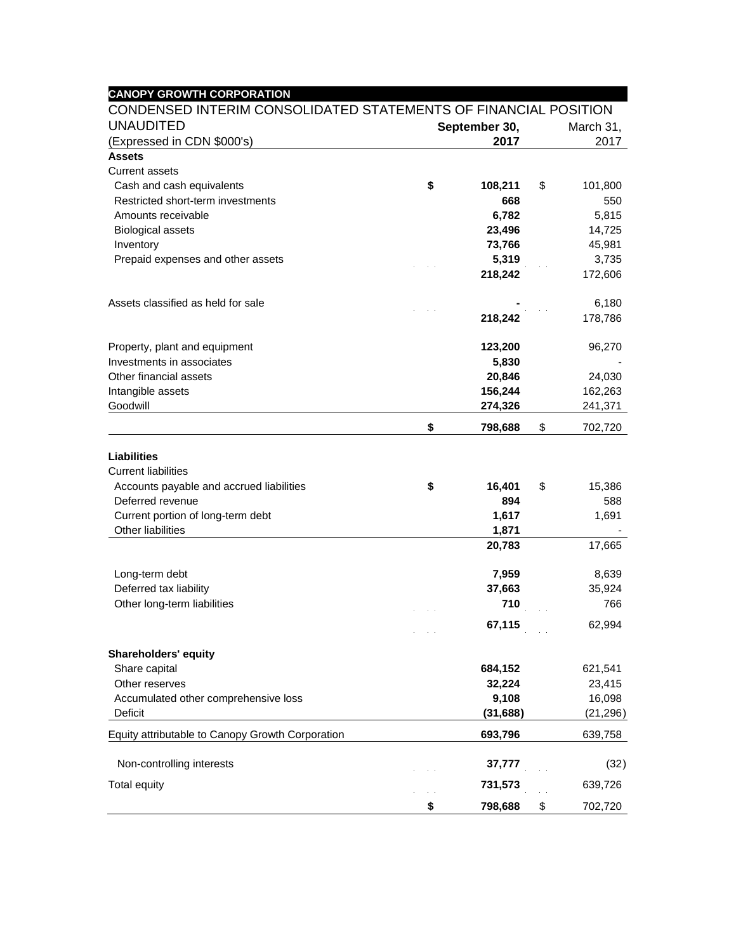| <b>UNAUDITED</b>                                 |                                                                                  |           |    |           |  |  |
|--------------------------------------------------|----------------------------------------------------------------------------------|-----------|----|-----------|--|--|
|                                                  | CONDENSED INTERIM CONSOLIDATED STATEMENTS OF FINANCIAL POSITION<br>September 30, |           |    | March 31, |  |  |
| (Expressed in CDN \$000's)                       | 2017                                                                             |           |    | 2017      |  |  |
| <b>Assets</b>                                    |                                                                                  |           |    |           |  |  |
| Current assets                                   |                                                                                  |           |    |           |  |  |
| Cash and cash equivalents                        | \$                                                                               | 108,211   | \$ | 101,800   |  |  |
| Restricted short-term investments                |                                                                                  | 668       |    | 550       |  |  |
| Amounts receivable                               |                                                                                  | 6,782     |    | 5,815     |  |  |
| <b>Biological assets</b>                         |                                                                                  | 23,496    |    | 14,725    |  |  |
| Inventory                                        |                                                                                  | 73,766    |    | 45,981    |  |  |
| Prepaid expenses and other assets                |                                                                                  | 5,319     |    | 3,735     |  |  |
|                                                  |                                                                                  | 218,242   |    | 172,606   |  |  |
| Assets classified as held for sale               |                                                                                  |           |    | 6,180     |  |  |
|                                                  |                                                                                  | 218,242   |    | 178,786   |  |  |
| Property, plant and equipment                    |                                                                                  | 123,200   |    | 96,270    |  |  |
| Investments in associates                        |                                                                                  | 5,830     |    |           |  |  |
| Other financial assets                           |                                                                                  | 20,846    |    | 24,030    |  |  |
| Intangible assets                                |                                                                                  | 156,244   |    | 162,263   |  |  |
| Goodwill                                         |                                                                                  | 274,326   |    | 241,371   |  |  |
|                                                  | \$                                                                               | 798,688   | \$ | 702,720   |  |  |
| <b>Liabilities</b>                               |                                                                                  |           |    |           |  |  |
| <b>Current liabilities</b>                       |                                                                                  |           |    |           |  |  |
| Accounts payable and accrued liabilities         | \$                                                                               | 16,401    | \$ | 15,386    |  |  |
| Deferred revenue                                 |                                                                                  | 894       |    | 588       |  |  |
| Current portion of long-term debt                |                                                                                  | 1,617     |    | 1,691     |  |  |
| Other liabilities                                |                                                                                  | 1,871     |    |           |  |  |
|                                                  |                                                                                  | 20,783    |    | 17,665    |  |  |
| Long-term debt                                   |                                                                                  | 7,959     |    | 8,639     |  |  |
| Deferred tax liability                           |                                                                                  | 37,663    |    | 35,924    |  |  |
| Other long-term liabilities                      |                                                                                  | 710       |    | 766       |  |  |
|                                                  |                                                                                  | 67,115    |    | 62,994    |  |  |
| <b>Shareholders' equity</b>                      |                                                                                  |           |    |           |  |  |
| Share capital                                    |                                                                                  | 684,152   |    | 621,541   |  |  |
| Other reserves                                   |                                                                                  | 32,224    |    | 23,415    |  |  |
| Accumulated other comprehensive loss             |                                                                                  | 9,108     |    | 16,098    |  |  |
| Deficit                                          |                                                                                  | (31, 688) |    | (21, 296) |  |  |
| Equity attributable to Canopy Growth Corporation |                                                                                  | 693,796   |    | 639,758   |  |  |
|                                                  |                                                                                  | 37,777    |    | (32)      |  |  |
| Non-controlling interests                        |                                                                                  |           |    |           |  |  |
| <b>Total equity</b>                              |                                                                                  | 731,573   |    | 639,726   |  |  |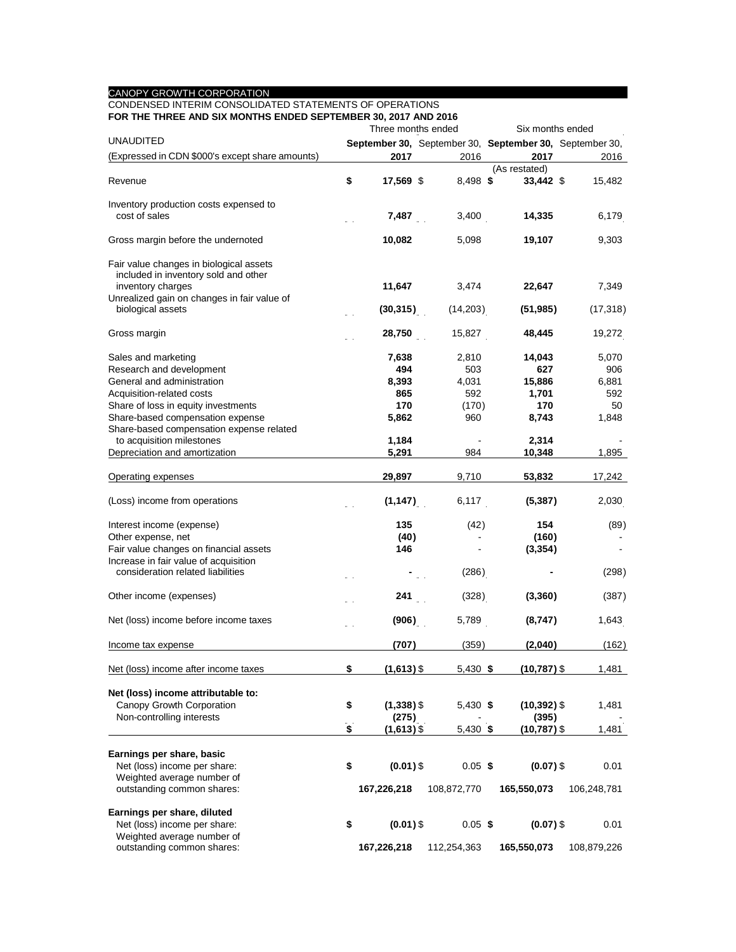#### CANOPY GROWTH CORPORATION

#### CONDENSED INTERIM CONSOLIDATED STATEMENTS OF OPERATIONS **FOR THE THREE AND SIX MONTHS ENDED SEPTEMBER 30, 2017 AND 2016**

|                                                                                 | ב שווא <i>ו</i> וטג, טט חםכ<br>Three months ended |  |             |  | Six months ended |                                                         |  |  |  |
|---------------------------------------------------------------------------------|---------------------------------------------------|--|-------------|--|------------------|---------------------------------------------------------|--|--|--|
| <b>UNAUDITED</b>                                                                |                                                   |  |             |  |                  | September 30, September 30, September 30, September 30, |  |  |  |
| (Expressed in CDN \$000's except share amounts)                                 | 2017                                              |  | 2016        |  | 2017             | 2016                                                    |  |  |  |
|                                                                                 |                                                   |  |             |  | (As restated)    |                                                         |  |  |  |
| Revenue                                                                         | \$<br>17,569 \$                                   |  | 8,498 \$    |  | 33,442 \$        | 15,482                                                  |  |  |  |
| Inventory production costs expensed to                                          |                                                   |  |             |  |                  |                                                         |  |  |  |
| cost of sales                                                                   | 7,487                                             |  | 3,400       |  | 14,335           | 6,179                                                   |  |  |  |
| Gross margin before the undernoted                                              | 10,082                                            |  | 5,098       |  | 19,107           | 9,303                                                   |  |  |  |
| Fair value changes in biological assets<br>included in inventory sold and other |                                                   |  |             |  |                  |                                                         |  |  |  |
| inventory charges                                                               | 11,647                                            |  | 3,474       |  | 22,647           | 7,349                                                   |  |  |  |
| Unrealized gain on changes in fair value of<br>biological assets                | (30, 315)                                         |  | (14,203)    |  | (51, 985)        | (17, 318)                                               |  |  |  |
| Gross margin                                                                    | 28,750                                            |  | 15,827      |  | 48,445           | 19,272                                                  |  |  |  |
| Sales and marketing                                                             | 7,638                                             |  | 2,810       |  | 14,043           | 5,070                                                   |  |  |  |
| Research and development                                                        | 494                                               |  | 503         |  | 627              | 906                                                     |  |  |  |
| General and administration                                                      | 8,393                                             |  | 4,031       |  | 15,886           | 6,881                                                   |  |  |  |
| Acquisition-related costs                                                       | 865                                               |  | 592         |  | 1,701            | 592                                                     |  |  |  |
| Share of loss in equity investments                                             | 170                                               |  | (170)       |  | 170              | 50                                                      |  |  |  |
| Share-based compensation expense                                                | 5,862                                             |  | 960         |  | 8,743            | 1,848                                                   |  |  |  |
| Share-based compensation expense related<br>to acquisition milestones           | 1,184                                             |  |             |  | 2,314            |                                                         |  |  |  |
| Depreciation and amortization                                                   | 5,291                                             |  | 984         |  | 10,348           | 1,895                                                   |  |  |  |
|                                                                                 |                                                   |  |             |  |                  |                                                         |  |  |  |
| Operating expenses                                                              | 29,897                                            |  | 9,710       |  | 53,832           | 17,242                                                  |  |  |  |
| (Loss) income from operations                                                   | (1, 147)                                          |  | 6,117       |  | (5, 387)         | 2,030                                                   |  |  |  |
| Interest income (expense)                                                       | 135                                               |  | (42)        |  | 154              | (89)                                                    |  |  |  |
| Other expense, net                                                              | (40)                                              |  |             |  | (160)            |                                                         |  |  |  |
| Fair value changes on financial assets                                          | 146                                               |  |             |  | (3, 354)         |                                                         |  |  |  |
| Increase in fair value of acquisition                                           |                                                   |  |             |  |                  |                                                         |  |  |  |
| consideration related liabilities                                               |                                                   |  | (286)       |  |                  | (298)                                                   |  |  |  |
| Other income (expenses)                                                         | 241                                               |  | (328)       |  | (3,360)          | (387)                                                   |  |  |  |
| Net (loss) income before income taxes                                           | (906)                                             |  | 5,789       |  | (8,747)          | 1,643                                                   |  |  |  |
| Income tax expense                                                              | (707)                                             |  | (359)       |  | (2,040)          | (162)                                                   |  |  |  |
| Net (loss) income after income taxes                                            | \$<br>$(1,613)$ \$                                |  | $5,430$ \$  |  | $(10,787)$ \$    | 1,481                                                   |  |  |  |
| Net (loss) income attributable to:                                              |                                                   |  |             |  |                  |                                                         |  |  |  |
| Canopy Growth Corporation                                                       | \$<br>$(1,338)$ \$                                |  | $5,430$ \$  |  | $(10, 392)$ \$   | 1,481                                                   |  |  |  |
| Non-controlling interests                                                       | (275)                                             |  |             |  | (395)            |                                                         |  |  |  |
|                                                                                 | \$<br>$(1,613)$ \$                                |  | $5,430$ \$  |  | $(10, 787)$ \$   | 1,481                                                   |  |  |  |
|                                                                                 |                                                   |  |             |  |                  |                                                         |  |  |  |
| Earnings per share, basic<br>Net (loss) income per share:                       | \$<br>$(0.01)$ \$                                 |  | $0.05$ \$   |  | $(0.07)$ \$      | 0.01                                                    |  |  |  |
| Weighted average number of                                                      |                                                   |  |             |  |                  |                                                         |  |  |  |
| outstanding common shares:                                                      | 167,226,218                                       |  | 108,872,770 |  | 165,550,073      | 106,248,781                                             |  |  |  |
| Earnings per share, diluted                                                     |                                                   |  |             |  |                  |                                                         |  |  |  |
| Net (loss) income per share:                                                    | \$<br>$(0.01)$ \$                                 |  | $0.05$ \$   |  | $(0.07)$ \$      | 0.01                                                    |  |  |  |
| Weighted average number of                                                      |                                                   |  |             |  |                  |                                                         |  |  |  |
| outstanding common shares:                                                      | 167,226,218                                       |  | 112,254,363 |  | 165,550,073      | 108,879,226                                             |  |  |  |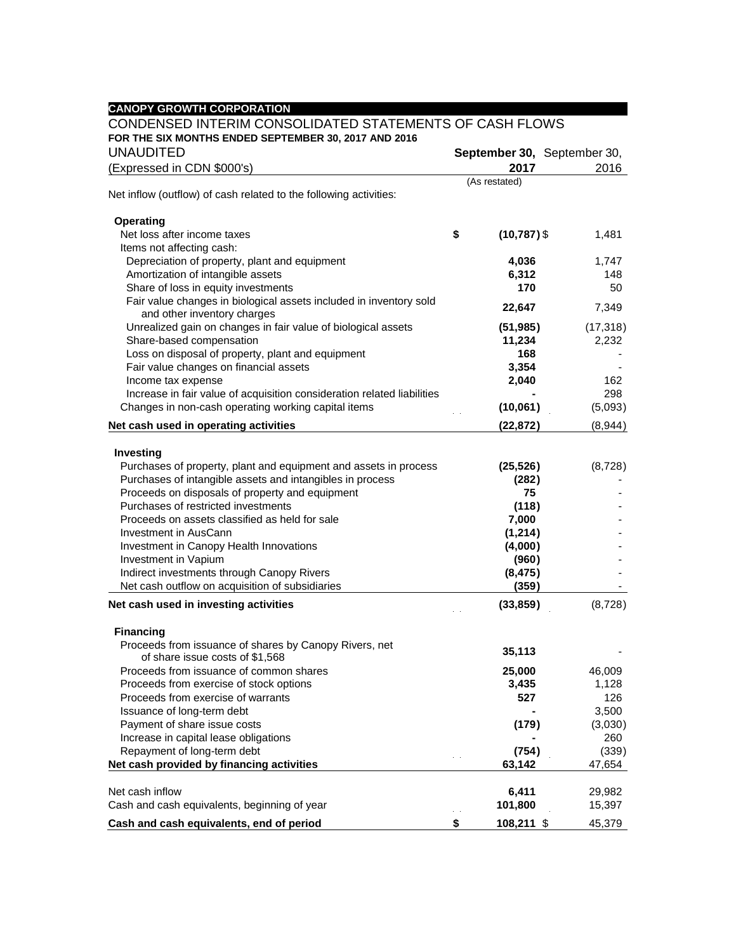| <b>CANOPY GROWTH CORPORATION</b>                                                                  |                      |                             |
|---------------------------------------------------------------------------------------------------|----------------------|-----------------------------|
| CONDENSED INTERIM CONSOLIDATED STATEMENTS OF CASH FLOWS                                           |                      |                             |
| FOR THE SIX MONTHS ENDED SEPTEMBER 30, 2017 AND 2016                                              |                      |                             |
| <b>UNAUDITED</b>                                                                                  |                      | September 30, September 30, |
| (Expressed in CDN \$000's)                                                                        | 2017                 | 2016                        |
|                                                                                                   | (As restated)        |                             |
| Net inflow (outflow) of cash related to the following activities:                                 |                      |                             |
|                                                                                                   |                      |                             |
| <b>Operating</b>                                                                                  |                      |                             |
| Net loss after income taxes                                                                       | \$<br>$(10, 787)$ \$ | 1,481                       |
| Items not affecting cash:                                                                         |                      |                             |
| Depreciation of property, plant and equipment                                                     | 4,036                | 1,747                       |
| Amortization of intangible assets                                                                 | 6,312                | 148                         |
| Share of loss in equity investments                                                               | 170                  | 50                          |
| Fair value changes in biological assets included in inventory sold<br>and other inventory charges | 22,647               | 7,349                       |
| Unrealized gain on changes in fair value of biological assets                                     | (51, 985)            | (17, 318)                   |
| Share-based compensation                                                                          | 11,234               | 2,232                       |
| Loss on disposal of property, plant and equipment                                                 | 168                  |                             |
| Fair value changes on financial assets                                                            | 3,354                |                             |
| Income tax expense                                                                                | 2,040                | 162                         |
| Increase in fair value of acquisition consideration related liabilities                           |                      | 298                         |
| Changes in non-cash operating working capital items                                               | (10,061)             | (5,093)                     |
| Net cash used in operating activities                                                             | (22, 872)            | (8,944)                     |
| Investing                                                                                         |                      |                             |
| Purchases of property, plant and equipment and assets in process                                  | (25, 526)            | (8,728)                     |
| Purchases of intangible assets and intangibles in process                                         | (282)                |                             |
| Proceeds on disposals of property and equipment                                                   | 75                   |                             |
| Purchases of restricted investments                                                               | (118)                |                             |
| Proceeds on assets classified as held for sale                                                    | 7,000                |                             |
| Investment in AusCann                                                                             | (1, 214)             |                             |
| Investment in Canopy Health Innovations                                                           | (4,000)              |                             |
| Investment in Vapium                                                                              | (960)                |                             |
| Indirect investments through Canopy Rivers                                                        | (8, 475)             |                             |
| Net cash outflow on acquisition of subsidiaries                                                   | (359)                |                             |
| Net cash used in investing activities                                                             | (33, 859)            | (8,728)                     |
| <b>Financing</b>                                                                                  |                      |                             |
| Proceeds from issuance of shares by Canopy Rivers, net                                            |                      |                             |
| of share issue costs of \$1,568                                                                   | 35,113               |                             |
| Proceeds from issuance of common shares                                                           | 25,000               | 46,009                      |
| Proceeds from exercise of stock options                                                           | 3,435                | 1,128                       |
| Proceeds from exercise of warrants                                                                | 527                  | 126                         |
| Issuance of long-term debt                                                                        |                      | 3,500                       |
| Payment of share issue costs                                                                      | (179)                | (3,030)                     |
| Increase in capital lease obligations                                                             |                      | 260                         |
| Repayment of long-term debt                                                                       | (754)                | (339)                       |
| Net cash provided by financing activities                                                         | 63,142               | 47,654                      |
| Net cash inflow                                                                                   | 6,411                | 29,982                      |
| Cash and cash equivalents, beginning of year                                                      | 101,800              | 15,397                      |
| Cash and cash equivalents, end of period                                                          | \$<br>108,211 \$     | 45,379                      |